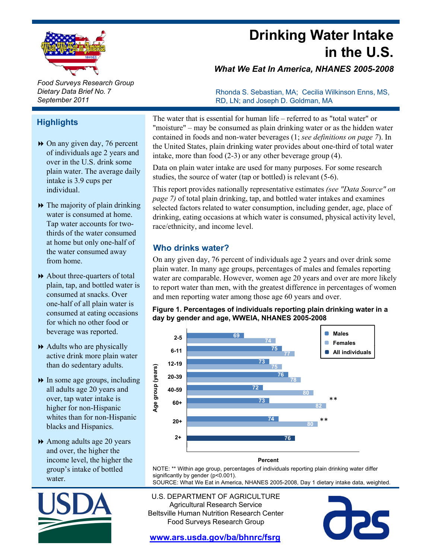

**Drinking Water Intake in the U.S.**

*What We Eat In America, NHANES 2005-2008*

Rhonda S. Sebastian, MA; Cecilia Wilkinson Enns, MS,

*Food Surveys Research Group Dietary Data Brief No. 7 September 2011*

## **Highlights**

- On any given day, 76 percent On any given day, 76 of individuals age 2 years and over in the U.S. drink some plain water. The average daily intake is 3.9 cups per individual.
- $\rightarrow$  The majority of plain drinking water is consumed at home. Tap water accounts for twothirds of the water consumed at home but only one-half of the water consumed away from home.
- $\rightarrow$  About three-quarters of total plain, tap, and bottled water is consumed at snacks. Over one-half of all plain water is consumed at eating occasions for which no other food or beverage was reported.
- $\rightarrow$  Adults who are physically active drink more plain water than do sedentary adults.
- $\rightarrow$  In some age groups, including all adults age 20 years and over, tap water intake is higher for non-Hispanic whites than for non-Hispanic blacks and Hispanics.
- Among adults age 20 years and over, the higher the income level, the higher the group's intake of bottled water. significantly by gender (p<0.001).<br>Water. What We Fat in Ameri



The water that is essential for human life – referred to as "total water" or "moisture" – may be consumed as plain drinking water or as the hidden water contained in foods and non-water beverages (1; *see definitions on page 7*). In the United States, plain drinking water provides about one-third of total water intake, more than food (2-3) or any other beverage group (4).

RD, LN; and Joseph D. Goldman, MA

Data on plain water intake are used for many purposes. For some research studies, the source of water (tap or bottled) is relevant (5-6).

This report provides nationally representative estimates *(see "Data Source" on page 7)* of total plain drinking, tap, and bottled water intakes and examines selected factors related to water consumption, including gender, age, place of drinking, eating occasions at which water is consumed, physical activity level, race/ethnicity, and income level.

## **Who drinks water?**

On any given day, 76 percent of individuals age 2 years and over drink some plain water. In many age groups, percentages of males and females reporting water are comparable. However, women age 20 years and over are more likely to report water than men, with the greatest difference in percentages of women and men reporting water among those age 60 years and over.

#### **Figure 1. Percentages of individuals reporting plain drinking water in a day by gender and age, WWEIA, NHANES 2005-2008**



#### **Percent**

NOTE: \*\* Within age group, percentages of individuals reporting plain drinking water differ

SOURCE: What We Eat in America, NHANES 2005-2008, Day 1 dietary intake data, weighted.

U.S. DEPARTMENT OF AGRICULTURE Agricultural Research Service Beltsville Human Nutrition Research Center Food Surveys Research Group

CRS

**www.ars.usda.gov/ba/bhnrc/fsrg**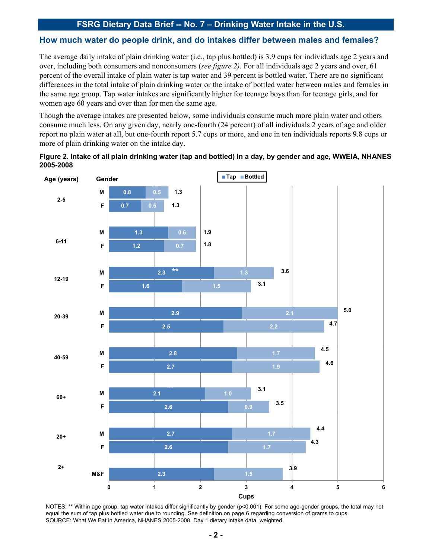#### **How much water do people drink, and do intakes differ between males and females?**

The average daily intake of plain drinking water (i.e., tap plus bottled) is 3.9 cups for individuals age 2 years and over, including both consumers and nonconsumers (*see figure 2)*. For all individuals age 2 years and over, 61 percent of the overall intake of plain water is tap water and 39 percent is bottled water. There are no significant differences in the total intake of plain drinking water or the intake of bottled water between males and females in the same age group. Tap water intakes are significantly higher for teenage boys than for teenage girls, and for women age 60 years and over than for men the same age.

Though the average intakes are presented below, some individuals consume much more plain water and others consume much less. On any given day, nearly one-fourth (24 percent) of all individuals 2 years of age and older report no plain water at all, but one-fourth report 5.7 cups or more, and one in ten individuals reports 9.8 cups or more of plain drinking water on the intake day. more of plain drinking water on the intake





NOTES: \*\* Within age group, tap water intakes differ significantly by gender (p<0.001). For some age-gender groups, the total may not equal the sum of tap plus bottled water due to rounding. See definition on page 6 regarding conversion of grams to cups. SOURCE: What We Eat in America, NHANES 2005-2008, Day 1 dietary intake data, weighted.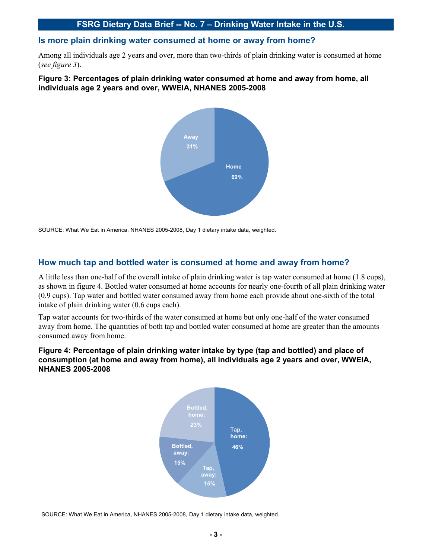#### **Is more plain drinking water consumed at home or away from home?**

Among all individuals age 2 years and over, more than two-thirds of plain drinking water is consumed at home (*see figure 3*).

# Figure 3: Percentages of plain drinking water consumed at home and away from home, all<br>individuals age 2 years and over, WWEIA, NHANES 2005-2008



SOURCE: What We Eat in America, NHANES 2005-2008, Day 1 dietary intake data, weighted.

#### **How much tap and bottled water is consumed at home and away from home?**

A little less than one-half of the overall intake of plain drinking water is tap water consumed at home (1.8 cups), as shown in figure 4. Bottled water consumed at home accounts for nearly one-fourth of all plain drinking water (0.9 cups). Tap water and bottled water consumed away from home each provide about one-sixth of the total intake of plain drinking water (0.6 cups each).

Tap water accounts for two-thirds of the water consumed at home but only one-half of the water consumed away from home. The quantities of both tap and bottled water consumed at home are greater than the amounts consumed away from home.

#### **Figure 4: Percentage of plain drinking water intake by type (tap and bottled) and place of consumption (at home and away from home), all individuals age 2 years and over, WWEIA, NHANES 2005-2008**



SOURCE: What We Eat in America, NHANES 2005-2008, Day 1 dietary intake data, weighted.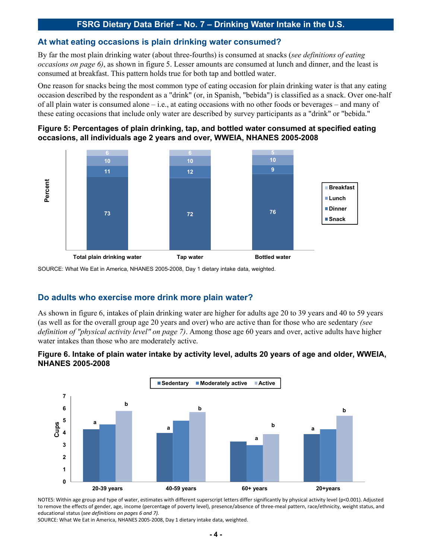#### **At what eating occasions is plain drinking water consumed?**

By far the most plain drinking water (about three-fourths) is consumed at snacks (*see definitions of eating occasions on page 6)*, as shown in figure 5. Lesser amounts are consumed at lunch and dinner, and the least is consumed at breakfast. This pattern holds true for both tap and bottled water.

One reason for snacks being the most common type of eating occasion for plain drinking water is that any eating occasion described by the respondent as a "drink" (or, in Spanish, "bebida") is classified as a snack. Over one-half of all plain water is consumed alone – i.e., at eating occasions with no other foods or beverages – and many of these eating occasions that include only water are described by survey participants as a "drink" or "bebida."

#### **Figure 5: Percentages of plain drinking, tap, and bottled water consumed at specified eating occasions, all individuals age 2 years and over, WWEIA, NHANES 2005-2008**



SOURCE: What We Eat in America, NHANES 2005-2008, Day 1 dietary intake data, weighted.

## **Do adults who exercise more drink more plain water?**

As shown in figure 6, intakes of plain drinking water are higher for adults age 20 to 39 years and 40 to 59 years (as well as for the overall group age 20 years and over) who are active than for those who are sedentary *(see definition of "physical activity level" on page 7)*. Among those age 60 years and over, active adults have higher water intakes than those who are moderately active.

#### **Figure 6. Intake of plain water intake by activity level, adults 20 years of age and older, WWEIA, NHANES 2005-2008**



NOTES: Within age group and type of water, estimates with different superscript letters differ significantly by physical activity level (p<0.001). Adjusted to remove the effects of gender, age, income (percentage of poverty level), presence/absence of three-meal pattern, race/ethnicity, weight status, and educational status (see definitions on pages 6 and 7).

SOURCE: What We Eat in America, NHANES 2005‐2008, Day 1 dietary intake data, weighted.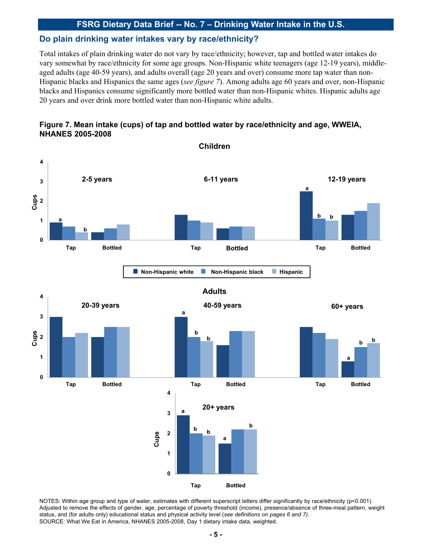## **Do plain drinking water intakes vary by race/ethnicity?**

Total intakes of plain drinking water do not vary by race/ethnicity; however, tap and bottled water intakes do vary somewhat by race/ethnicity for some age groups. Non-Hispanic white teenagers (age 12-19 years), middleaged adults (age 40-59 years), and adults overall (age 20 years and over) consume more tap water than non-Hispanic blacks and Hispanics the same ages *(see figure 7)*. Among adults age 60 years and over, non-Hispanic blacks and Hispanics consume significantly more bottled water than non-Hispanic whites. Hispanic adults age 20 years and over drink more bottled water than non-Hispanic white adults.

## **Figure 7. Mean intake (cups) of tap and bottled water by race/ethnicity and age, WWEIA, NHANES 2005-2008**



NOTES: Within age group and type of water, estimates with different superscript letters differ significantly by race/ethnicity (p<0.001). Adjusted to remove the effects of gender, age, percentage of poverty threshold (income), presence/absence of three-meal pattern, weight status, and (for adults only) educational status and physical activity level (*see definitions on pages 6 and 7).*  SOURCE: What We Eat in America, NHANES 2005-2008, Day 1 dietary intake data, weighted.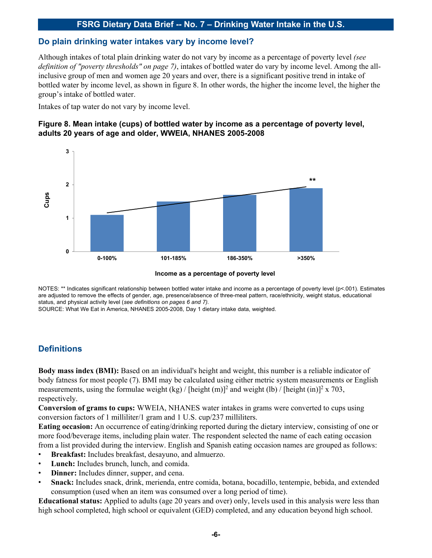#### **Do plain drinking water intakes vary by income level?**

Although intakes of total plain drinking water do not vary by income as a percentage of poverty level *(see definition of "poverty thresholds" on page 7)*, intakes of bottled water do vary by income level. Among the allinclusive group of men and women age 20 years and over, there is a significant positive trend in intake of bottled water by income level, as shown in figure 8. In other words, the higher the income level, the higher the group's intake of bottled water.

Intakes of tap water do not vary by income level.

#### **Figure 8. Mean intake (cups) of bottled water by income as a percentage of poverty level, adults 20 years of age and older, WWEIA, NHANES 2005-2008**





NOTES: \*\* Indicates significant relationship between bottled water intake and income as a percentage of poverty level (p<.001). Estimates are adjusted to remove the effects of gender, age, presence/absence of three-meal pattern, race/ethnicity, weight status, educational status, and physical activity level (*see definitions on pages 6 and 7).* 

SOURCE: What We Eat in America, NHANES 2005-2008, Day 1 dietary intake data, weighted.

## **Definitions**

**Body mass index (BMI):** Based on an individual's height and weight, this number is a reliable indicator of body fatness for most people (7). BMI may be calculated using either metric system measurements or English measurements, using the formulae weight (kg) / [height (m)]<sup>2</sup> and weight (lb) / [height (in)]<sup>2</sup> x 703, respectively.

**Conversion of grams to cups:** WWEIA, NHANES water intakes in grams were converted to cups using conversion factors of 1 milliliter/1 gram and 1 U.S. cup/237 milliliters.

**Eating occasion:** An occurrence of eating/drinking reported during the dietary interview, consisting of one or more food/beverage items, including plain water. The respondent selected the name of each eating occasion from a list provided during the interview. English and Spanish eating occasion names are grouped as follows:

- **Breakfast:** Includes breakfast, desayuno, and almuerzo.
- **Lunch:** Includes brunch, lunch, and comida.
- **Dinner:** Includes dinner, supper, and cena.
- **Snack:** Includes snack, drink, merienda, entre comida, botana, bocadillo, tentempie, bebida, and extended consumption (used when an item was consumed over a long period of time).

**Educational status:** Applied to adults (age 20 years and over) only, levels used in this analysis were less than high school completed, high school or equivalent (GED) completed, and any education beyond high school.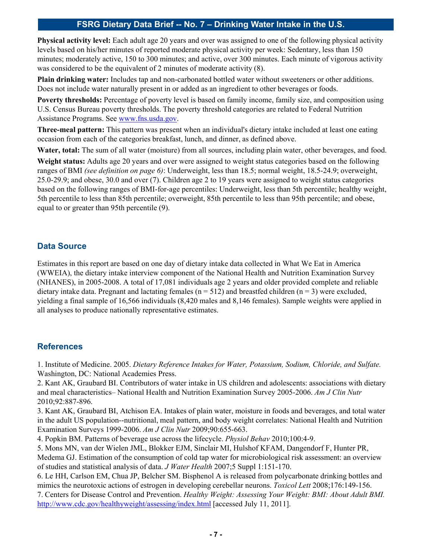**Physical activity level:** Each adult age 20 years and over was assigned to one of the following physical activity levels based on his/her minutes of reported moderate physical activity per week: Sedentary, less than 150 minutes; moderately active, 150 to 300 minutes; and active, over 300 minutes. Each minute of vigorous activity was considered to be the equivalent of 2 minutes of moderate activity (8).

Plain drinking water: Includes tap and non-carbonated bottled water without sweeteners or other additions. Does not include water naturally present in or added as an ingredient to other beverages or foods.

**Poverty thresholds:** Percentage of poverty level is based on family income, family size, and composition using U.S. Census Bureau poverty thresholds. The poverty threshold categories are related to Federal Nutrition Assistance Programs. See www.fns.usda.gov.

**Three-meal pattern:** This pattern was present when an individual's dietary intake included at least one eating occasion from each of the categories breakfast, lunch, and dinner, as defined above.

**Water, total:** The sum of all water (moisture) from all sources, including plain water, other beverages, and food.

**Weight status:** Adults age 20 years and over were assigned to weight status categories based on the following ranges of BMI *(see definition on page 6)*: Underweight, less than 18.5; normal weight, 18.5-24.9; overweight, 25.0-29.9; and obese, 30.0 and over (7). Children age 2 to 19 years were assigned to weight status categories based on the following ranges of BMI-for-age percentiles: Underweight, less than 5th percentile; healthy weight, 5th percentile to less than 85th percentile; overweight, 85th percentile to less than 95th percentile; and obese, equal to or greater than 95th percentile (9).

## **Data Source**

Estimates in this report are based on one day of dietary intake data collected in What We Eat in America (WWEIA), the dietary intake interview component of the National Health and Nutrition Examination Survey (NHANES), in 2005-2008. A total of 17,081 individuals age 2 years and older provided complete and reliable dietary intake data. Pregnant and lactating females  $(n = 512)$  and breastfed children  $(n = 3)$  were excluded, yielding a final sample of 16,566 individuals (8,420 males and 8,146 females). Sample weights were applied in all analyses to produce nationally representative estimates.

## **References**

1. Institute of Medicine. 2005. *Dietary Reference Intakes for Water, Potassium, Sodium, Chloride, and Sulfate.* Washington, DC: National Academies Press.

2. Kant AK, Graubard BI. Contributors of water intake in US children and adolescents: associations with dietary and meal characteristics– National Health and Nutrition Examination Survey 2005-2006. *Am J Clin Nutr* 2010;92:887-896.

3. Kant AK, Graubard BI, Atchison EA. Intakes of plain water, moisture in foods and beverages, and total water in the adult US population--nutritional, meal pattern, and body weight correlates: National Health and Nutrition Examination Surveys 1999-2006. *Am J Clin Nutr* 2009;90:655-663.

4. Popkin BM. Patterns of beverage use across the lifecycle. *Physiol Behav* 2010;100:4-9.

5. Mons MN, van der Wielen JML, Blokker EJM, Sinclair MI, Hulshof KFAM, Dangendorf F, Hunter PR, Medema GJ. Estimation of the consumption of cold tap water for microbiological risk assessment: an overview of studies and statistical analysis of data. *J Water Health* 2007;5 Suppl 1:151-170.

6. Le HH, Carlson EM, Chua JP, Belcher SM. Bisphenol A is released from polycarbonate drinking bottles and mimics the neurotoxic actions of estrogen in developing cerebellar neurons. *Toxicol Lett* 2008;176:149-156.

7. Centers for Disease Control and Prevention. *Healthy Weight: Assessing Your Weight: BMI: About Adult BMI.*  http://www.cdc.gov/healthyweight/assessing/index.html [accessed July 11, 2011].